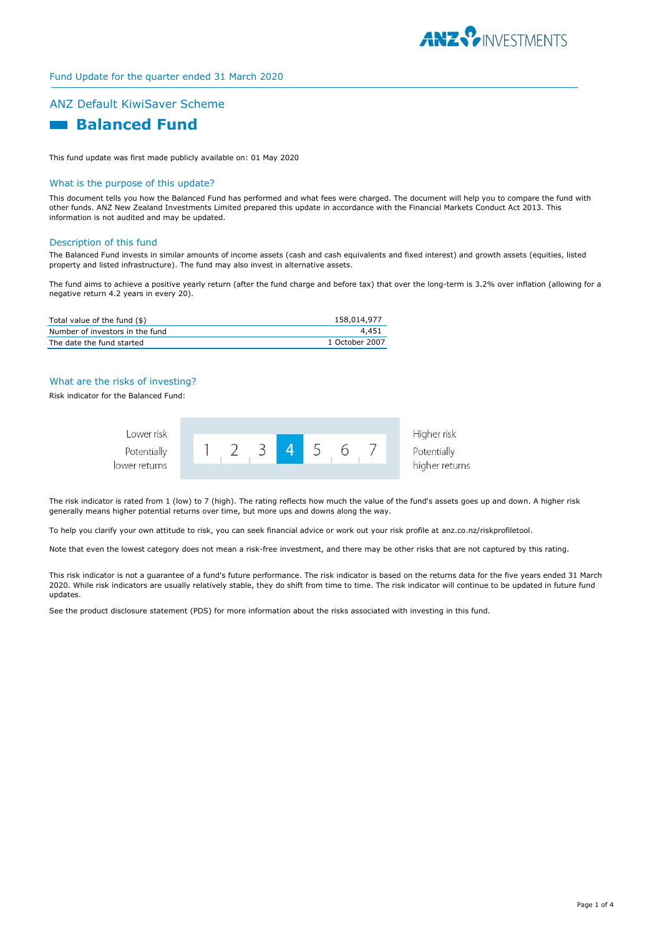

## Fund Update for the quarter ended 31 March 2020

## ANZ Default KiwiSaver Scheme

# **Ralanced Fund**

This fund update was first made publicly available on: 01 May 2020

#### What is the purpose of this update?

This document tells you how the Balanced Fund has performed and what fees were charged. The document will help you to compare the fund with other funds. ANZ New Zealand Investments Limited prepared this update in accordance with the Financial Markets Conduct Act 2013. This information is not audited and may be updated.

#### Description of this fund

The Balanced Fund invests in similar amounts of income assets (cash and cash equivalents and fixed interest) and growth assets (equities, listed property and listed infrastructure). The fund may also invest in alternative assets.

The fund aims to achieve a positive yearly return (after the fund charge and before tax) that over the long-term is 3.2% over inflation (allowing for a negative return 4.2 years in every 20).

| Total value of the fund (\$)    | 158,014,977    |
|---------------------------------|----------------|
| Number of investors in the fund | 4,451          |
| The date the fund started       | 1 October 2007 |

#### What are the risks of investing?

Risk indicator for the Balanced Fund:



The risk indicator is rated from 1 (low) to 7 (high). The rating reflects how much the value of the fund's assets goes up and down. A higher risk generally means higher potential returns over time, but more ups and downs along the way.

To help you clarify your own attitude to risk, you can seek financial advice or work out your risk profile at anz.co.nz/riskprofiletool.

Note that even the lowest category does not mean a risk-free investment, and there may be other risks that are not captured by this rating.

This risk indicator is not a guarantee of a fund's future performance. The risk indicator is based on the returns data for the five years ended 31 March 2020. While risk indicators are usually relatively stable, they do shift from time to time. The risk indicator will continue to be updated in future fund updates.

See the product disclosure statement (PDS) for more information about the risks associated with investing in this fund.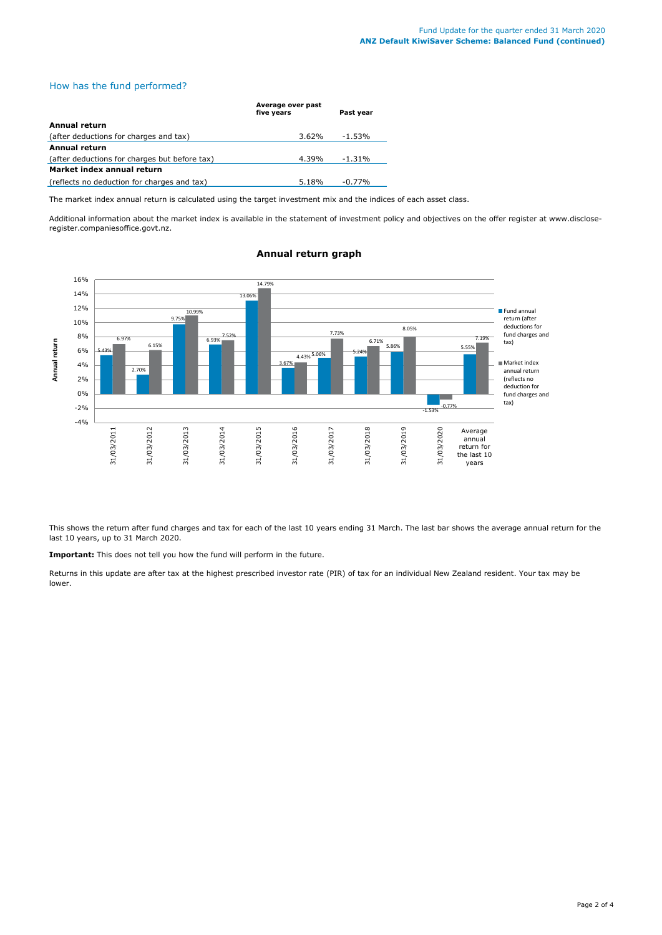### How has the fund performed?

|                                               | Average over past |           |
|-----------------------------------------------|-------------------|-----------|
|                                               | five years        | Past year |
| Annual return                                 |                   |           |
| (after deductions for charges and tax)        | $3.62\%$          | -1.53%    |
| Annual return                                 |                   |           |
| (after deductions for charges but before tax) | 4.39%             | $-1.31%$  |
| Market index annual return                    |                   |           |
| (reflects no deduction for charges and tax)   | 5.18%             | $-0.77%$  |

The market index annual return is calculated using the target investment mix and the indices of each asset class.

Additional information about the market index is available in the statement of investment policy and objectives on the offer register at www.discloseregister.companiesoffice.govt.nz.



## **Annual return graph**

This shows the return after fund charges and tax for each of the last 10 years ending 31 March. The last bar shows the average annual return for the last 10 years, up to 31 March 2020.

**Important:** This does not tell you how the fund will perform in the future.

Returns in this update are after tax at the highest prescribed investor rate (PIR) of tax for an individual New Zealand resident. Your tax may be lower.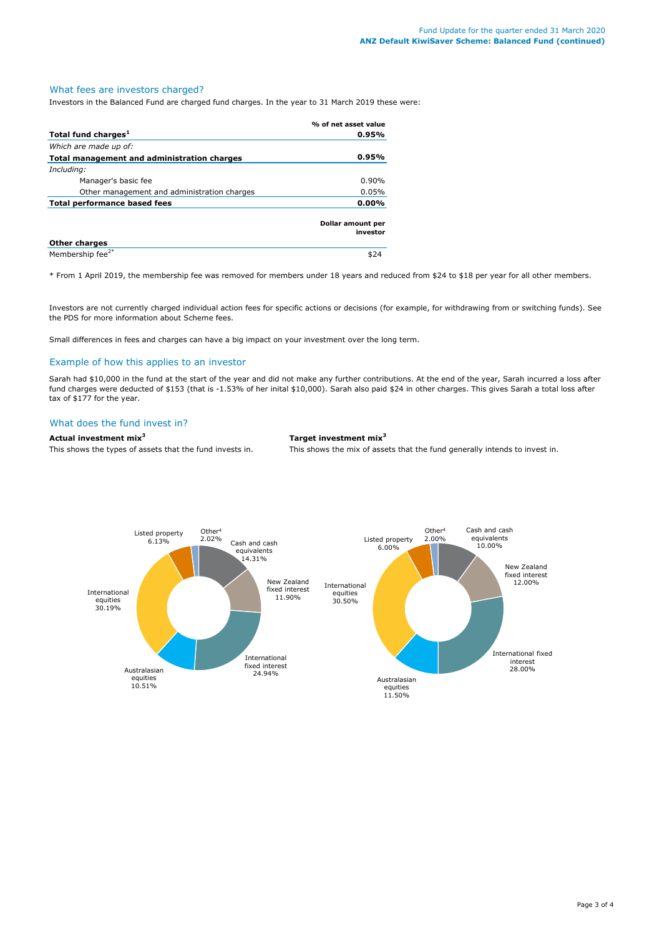## What fees are investors charged?

Investors in the Balanced Fund are charged fund charges. In the year to 31 March 2019 these were:

|                                             | % of net asset value          |
|---------------------------------------------|-------------------------------|
| Total fund charges <sup>1</sup>             | 0.95%                         |
| Which are made up of:                       |                               |
| Total management and administration charges | 0.95%                         |
| Including:                                  |                               |
| Manager's basic fee                         | $0.90\%$                      |
| Other management and administration charges | 0.05%                         |
| Total performance based fees                | $0.00\%$                      |
|                                             | Dollar amount per<br>investor |
| <b>Other charges</b>                        |                               |
| Membership fee <sup>2*</sup>                |                               |

\* From 1 April 2019, the membership fee was removed for members under 18 years and reduced from \$24 to \$18 per year for all other members.

Investors are not currently charged individual action fees for specific actions or decisions (for example, for withdrawing from or switching funds). See the PDS for more information about Scheme fees.

Small differences in fees and charges can have a big impact on your investment over the long term.

### Example of how this applies to an investor

Sarah had \$10,000 in the fund at the start of the year and did not make any further contributions. At the end of the year, Sarah incurred a loss after fund charges were deducted of \$153 (that is -1.53% of her inital \$10,000). Sarah also paid \$24 in other charges. This gives Sarah a total loss after tax of \$177 for the year.

# What does the fund invest in?

## **Actual investment mix<sup>3</sup> Target investment mix<sup>3</sup>**

This shows the types of assets that the fund invests in. This shows the mix of assets that the fund generally intends to invest in.